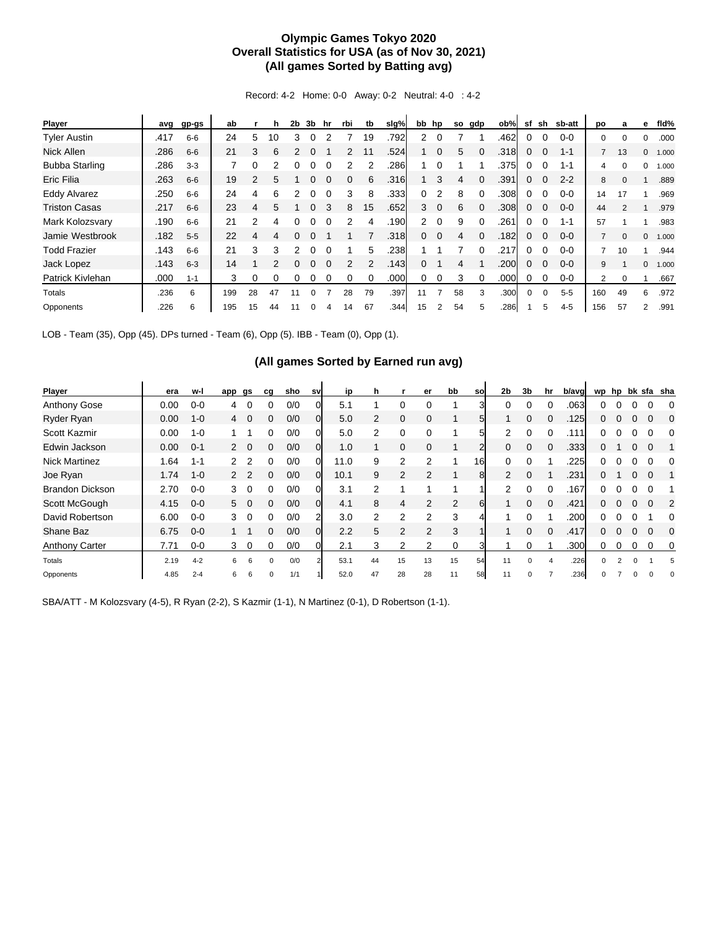## **Olympic Games Tokyo 2020 Overall Statistics for USA (as of Nov 30, 2021) (All games Sorted by Batting avg)**

Record: 4-2 Home: 0-0 Away: 0-2 Neutral: 4-0 : 4-2

| Player                | avg  | gp-gs   | ab  |               | h  | 2b | 3b       | hr | rbi | tb | slg% |                | bb hp          | so | gdp      | ob%  | sf | sh       | sb-att  | po             | a        | е            | fld%  |
|-----------------------|------|---------|-----|---------------|----|----|----------|----|-----|----|------|----------------|----------------|----|----------|------|----|----------|---------|----------------|----------|--------------|-------|
| <b>Tyler Austin</b>   | .417 | $6 - 6$ | 24  | 5             | 10 | 3  |          |    |     | 19 | .792 | 2              | $\Omega$       |    |          | .462 | 0  |          | $0 - 0$ | 0              |          | 0            | .000  |
| <b>Nick Allen</b>     | .286 | $6-6$   | 21  | 3             | 6  | 2  | 0        |    | 2   | 11 | .524 |                | $\mathbf 0$    | 5  |          | .318 | 0  | $\Omega$ | $1 - 1$ |                | 13       | $\mathbf{0}$ | 1.000 |
| <b>Bubba Starling</b> | .286 | $3 - 3$ |     | 0             | 2  | 0  | 0        |    |     |    | .286 |                | $\Omega$       |    |          | .375 | 0  |          | $1 - 1$ | 4              | $\Omega$ | 0            | 1.000 |
| Eric Filia            | .263 | $6-6$   | 19  | $\mathcal{P}$ | 5  |    |          |    | 0   | 6  | .316 |                | 3              | 4  |          | .391 | 0  | $\Omega$ | $2 - 2$ | 8              |          |              | .889  |
| <b>Eddy Alvarez</b>   | .250 | $6 - 6$ | 24  | 4             | 6  | 2  |          |    | 3   | 8  | .333 | 0              | 2              | 8  |          | .308 | 0  |          | $0 - 0$ | 14             | 17       |              | .969  |
| <b>Triston Casas</b>  | .217 | $6-6$   | 23  | 4             | 5  |    | 0        | 3  | 8   | 15 | .652 | 3              | $\overline{0}$ | 6  | $\Omega$ | .308 | 0  | $\Omega$ | $0 - 0$ | 44             | 2        |              | .979  |
| Mark Kolozsvary       | .190 | $6-6$   | 21  | 2             |    |    |          |    |     | 4  | .190 | $\overline{2}$ | $\Omega$       | 9  | $\Omega$ | .261 | 0  | $\Omega$ | $1 - 1$ | 57             |          |              | .983  |
| Jamie Westbrook       | .182 | $5 - 5$ | 22  | 4             | 4  |    |          |    |     |    | .318 | 0              | $\mathbf 0$    | 4  |          | .182 | 0  | $\Omega$ | $0 - 0$ | $\overline{7}$ | $\Omega$ | $\mathbf{0}$ | 1.000 |
| <b>Todd Frazier</b>   | .143 | $6-6$   | 21  | 3             | 3  | 2  | 0        |    |     | 5  | .238 |                |                |    | 0        | .217 | 0  | $\Omega$ | $0 - 0$ |                | 10       |              | .944  |
| Jack Lopez            | .143 | $6 - 3$ | 14  |               |    |    | 0        |    | 2   | 2  | .143 | 0              |                | 4  |          | .200 | 0  | $\Omega$ | $0 - 0$ | 9              |          | $\Omega$     | 1.000 |
| Patrick Kivlehan      | .000 | $1 - 1$ | 3   | 0             | 0  |    | 0        |    |     |    | .000 | 0              | 0              | 3  |          | .000 | 0  |          | $0 - 0$ | $\overline{2}$ | $\Omega$ |              | .667  |
| Totals                | .236 | 6       | 199 | 28            | 47 | 11 | $\Omega$ |    | 28  | 79 | .397 | 11             | 7              | 58 | 3        | .300 | 0  | $\Omega$ | $5 - 5$ | 160            | 49       | 6            | .972  |
| Opponents             | .226 | 6       | 195 | 15            | 44 | 11 |          |    | 14  | 67 | .344 | 15             |                | 54 |          | .286 |    | 5        | $4 - 5$ | 156            | 57       | 2            | .991  |

LOB - Team (35), Opp (45). DPs turned - Team (6), Opp (5). IBB - Team (0), Opp (1).

## **(All games Sorted by Earned run avg)**

| Player                 | era  | w-l     | app           | gs          | cq           | sho | sv       | ip   | h             |                | er            | bb       | so | 2 <sub>b</sub> | 3 <sub>b</sub> | hr | b/avg | wp       | hp             |          |          | bk sfa sha |
|------------------------|------|---------|---------------|-------------|--------------|-----|----------|------|---------------|----------------|---------------|----------|----|----------------|----------------|----|-------|----------|----------------|----------|----------|------------|
| Anthony Gose           | 0.00 | $0 - 0$ | 4             | 0           | 0            | 0/0 |          | 5.1  |               | 0              | 0             |          | 3  |                |                | 0  | .063  | 0        |                |          |          | $\Omega$   |
| Ryder Ryan             | 0.00 | $1 - 0$ | 4             | $\mathbf 0$ | 0            | 0/0 | 0l       | 5.0  | 2             | $\mathbf 0$    | $\Omega$      |          | 51 |                | 0              |    | .125  | 0        | 0              | 0        | $\Omega$ | $\Omega$   |
| Scott Kazmir           | 0.00 | $1 - 0$ |               |             | 0            | 0/0 |          | 5.0  | 2             | 0              |               |          |    | 2              |                |    | .111  |          |                |          |          |            |
| Edwin Jackson          | 0.00 | $0 - 1$ |               | $2 \quad 0$ | 0            | 0/0 | 0        | 1.0  |               | $\mathbf 0$    | 0             |          | 2  | 0              | 0              |    | .333  | 0        |                | 0        | $\Omega$ |            |
| <b>Nick Martinez</b>   | 1.64 | $1 - 1$ | $\mathcal{P}$ | 2           | 0            | 0/0 | 0        | 11.0 | 9             | 2              | 2             |          | 16 | 0              |                |    | .225  | 0        |                |          | 0        | $\Omega$   |
| Joe Ryan               | 1.74 | $1 - 0$ |               |             | 0            | 0/0 | 0        | 10.1 | 9             | 2              | $\mathcal{P}$ |          | 8  | $\mathcal{P}$  | 0              |    | .231  | 0        |                |          |          |            |
| <b>Brandon Dickson</b> | 2.70 | $0 - 0$ | 3             | 0           | 0            | 0/0 | $\Omega$ | 3.1  | $\mathcal{P}$ |                |               |          |    | 2              | 0              |    | .167  | 0        |                |          |          |            |
| Scott McGough          | 4.15 | $0 - 0$ |               | $5\quad 0$  | 0            | 0/0 | $\Omega$ | 4.1  | 8             | 4              | $\mathcal{P}$ | 2        | 6  |                | 0              | 0  | .421  | 0        | 0              | $\Omega$ | $\Omega$ | $\sqrt{2}$ |
| David Robertson        | 6.00 | $0 - 0$ | 3             | 0           | 0            | 0/0 | 2        | 3.0  | 2             | $\overline{2}$ | 2             | 3        |    |                |                |    | .200  | o        |                |          |          | 0          |
| Shane Baz              | 6.75 | $0 - 0$ |               |             | 0            | 0/0 | 0l       | 2.2  | 5             | 2              | $\mathcal{P}$ | 3        |    |                | 0              |    | .417  | 0        |                |          | $\Omega$ | $\Omega$   |
| <b>Anthony Carter</b>  | 7.71 | $0 - 0$ | 3             | 0           | 0            | 0/0 | 0        | 2.1  | 3             | 2              | 2             | $\Omega$ |    |                |                |    | .300  | 0        | 0              | 0        | 0        | 0          |
| Totals                 | 2.19 | $4 - 2$ | 6             | 6           | $\Omega$     | 0/0 |          | 53.1 | 44            | 15             | 13            | 15       | 54 | 11             | $\Omega$       | 4  | .226  | $\Omega$ | $\overline{2}$ | 0        |          | 5          |
| Opponents              | 4.85 | $2 - 4$ | 6             | 6           | <sup>0</sup> | 1/1 |          | 52.0 | 47            | 28             | 28            | 11       | 58 | 11             |                |    | .236  |          |                |          |          |            |

SBA/ATT - M Kolozsvary (4-5), R Ryan (2-2), S Kazmir (1-1), N Martinez (0-1), D Robertson (1-1).